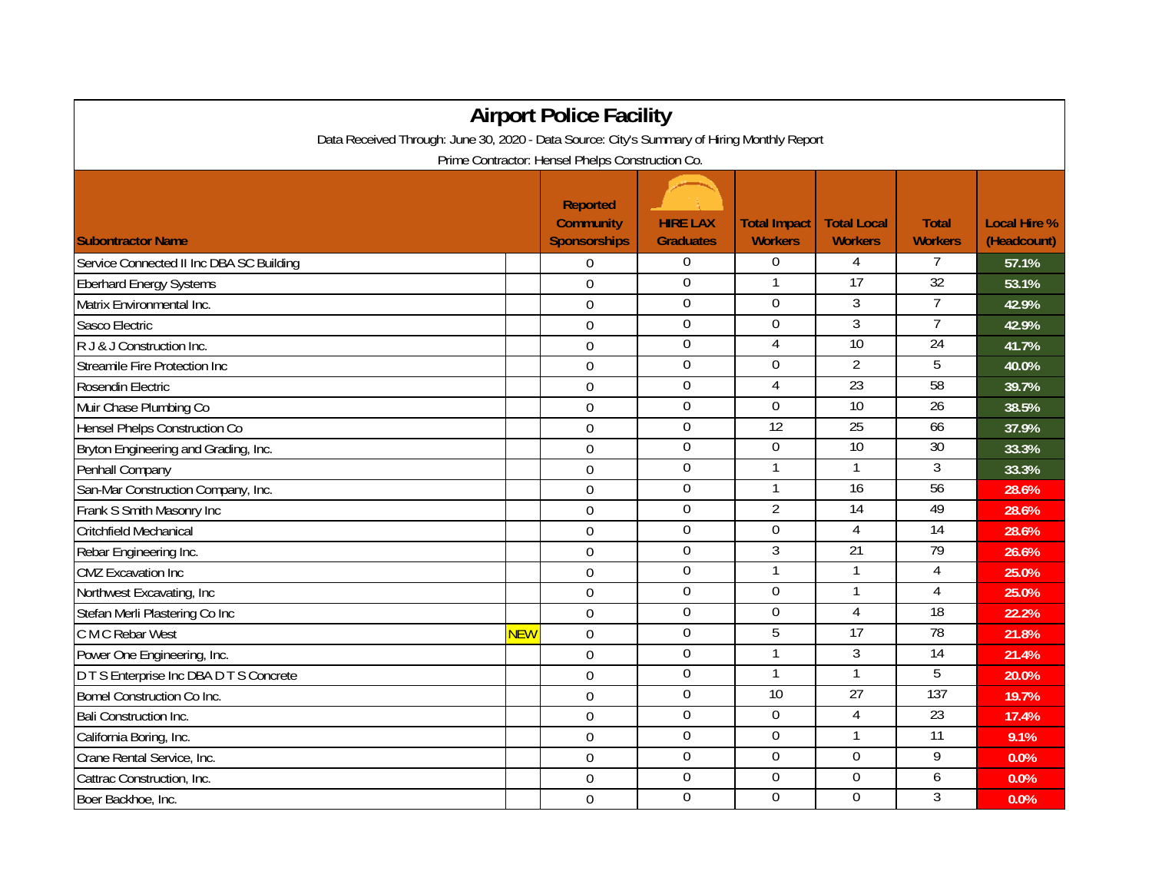| <b>Airport Police Facility</b>                                                              |            |                                                            |                                     |                                       |                                      |                                |                                    |  |  |  |  |  |
|---------------------------------------------------------------------------------------------|------------|------------------------------------------------------------|-------------------------------------|---------------------------------------|--------------------------------------|--------------------------------|------------------------------------|--|--|--|--|--|
| Data Received Through: June 30, 2020 - Data Source: City's Summary of Hiring Monthly Report |            |                                                            |                                     |                                       |                                      |                                |                                    |  |  |  |  |  |
| Prime Contractor: Hensel Phelps Construction Co.                                            |            |                                                            |                                     |                                       |                                      |                                |                                    |  |  |  |  |  |
| <b>Subontractor Name</b>                                                                    |            | <b>Reported</b><br><b>Community</b><br><b>Sponsorships</b> | <b>HIRE LAX</b><br><b>Graduates</b> | <b>Total Impact</b><br><b>Workers</b> | <b>Total Local</b><br><b>Workers</b> | <b>Total</b><br><b>Workers</b> | <b>Local Hire %</b><br>(Headcount) |  |  |  |  |  |
| Service Connected II Inc DBA SC Building                                                    |            | $\overline{0}$                                             | $\boldsymbol{0}$                    | $\overline{0}$                        | 4                                    | 7                              | 57.1%                              |  |  |  |  |  |
| <b>Eberhard Energy Systems</b>                                                              |            | $\overline{0}$                                             | 0                                   | 1                                     | $\overline{17}$                      | $\overline{32}$                | 53.1%                              |  |  |  |  |  |
| Matrix Environmental Inc.                                                                   |            | $\overline{0}$                                             | $\mathbf 0$                         | $\mathbf 0$                           | $\overline{3}$                       | $\overline{7}$                 | 42.9%                              |  |  |  |  |  |
| Sasco Electric                                                                              |            | $\Omega$                                                   | $\overline{0}$                      | $\overline{0}$                        | $\overline{3}$                       | $\overline{7}$                 | 42.9%                              |  |  |  |  |  |
| R J & J Construction Inc.                                                                   |            | $\Omega$                                                   | 0                                   | 4                                     | 10                                   | 24                             | 41.7%                              |  |  |  |  |  |
| Streamile Fire Protection Inc                                                               |            | $\mathbf 0$                                                | $\mathbf 0$                         | $\Omega$                              | $\overline{2}$                       | 5                              | 40.0%                              |  |  |  |  |  |
| Rosendin Electric                                                                           |            | $\mathbf 0$                                                | $\boldsymbol{0}$                    | 4                                     | 23                                   | 58                             | 39.7%                              |  |  |  |  |  |
| Muir Chase Plumbing Co                                                                      |            | $\mathbf 0$                                                | $\overline{0}$                      | $\boldsymbol{0}$                      | 10                                   | 26                             | 38.5%                              |  |  |  |  |  |
| Hensel Phelps Construction Co                                                               |            | $\mathbf 0$                                                | $\boldsymbol{0}$                    | $\overline{12}$                       | $\overline{25}$                      | 66                             | 37.9%                              |  |  |  |  |  |
| Bryton Engineering and Grading, Inc.                                                        |            | $\overline{0}$                                             | $\overline{0}$                      | $\overline{0}$                        | 10                                   | 30                             | 33.3%                              |  |  |  |  |  |
| Penhall Company                                                                             |            | $\boldsymbol{0}$                                           | $\mathbf 0$                         | 1                                     | $\mathbf{1}$                         | 3                              | 33.3%                              |  |  |  |  |  |
| San-Mar Construction Company, Inc.                                                          |            | $\mathbf 0$                                                | 0                                   | 1                                     | 16                                   | 56                             | 28.6%                              |  |  |  |  |  |
| Frank S Smith Masonry Inc                                                                   |            | $\mathbf 0$                                                | $\boldsymbol{0}$                    | $\overline{2}$                        | $\overline{14}$                      | 49                             | 28.6%                              |  |  |  |  |  |
| Critchfield Mechanical                                                                      |            | $\mathbf 0$                                                | $\mathbf 0$                         | $\overline{0}$                        | $\overline{4}$                       | 14                             | 28.6%                              |  |  |  |  |  |
| Rebar Engineering Inc.                                                                      |            | $\mathbf 0$                                                | $\mathbf 0$                         | $\mathfrak{Z}$                        | 21                                   | $\overline{79}$                | 26.6%                              |  |  |  |  |  |
| <b>CMZ Excavation Inc</b>                                                                   |            | $\overline{0}$                                             | $\overline{0}$                      | $\mathbf{1}$                          | 1                                    | $\overline{4}$                 | 25.0%                              |  |  |  |  |  |
| Northwest Excavating, Inc                                                                   |            | $\Omega$                                                   | 0                                   | $\Omega$                              |                                      | 4                              | 25.0%                              |  |  |  |  |  |
| Stefan Merli Plastering Co Inc                                                              |            | $\mathbf 0$                                                | $\boldsymbol{0}$                    | $\Omega$                              | 4                                    | 18                             | 22.2%                              |  |  |  |  |  |
| C M C Rebar West                                                                            | <b>NEW</b> | $\mathbf 0$                                                | $\boldsymbol{0}$                    | 5                                     | $\overline{17}$                      | 78                             | 21.8%                              |  |  |  |  |  |
| Power One Engineering, Inc.                                                                 |            | $\mathbf 0$                                                | $\overline{0}$                      | 1                                     | $\overline{3}$                       | $\overline{14}$                | 21.4%                              |  |  |  |  |  |
| D T S Enterprise Inc DBA D T S Concrete                                                     |            | $\mathbf 0$                                                | $\boldsymbol{0}$                    |                                       |                                      | 5                              | 20.0%                              |  |  |  |  |  |
| Bomel Construction Co Inc.                                                                  |            | $\Omega$                                                   | $\overline{0}$                      | 10                                    | 27                                   | 137                            | 19.7%                              |  |  |  |  |  |
| Bali Construction Inc.                                                                      |            | $\mathbf 0$                                                | $\Omega$                            | $\Omega$                              | 4                                    | 23                             | 17.4%                              |  |  |  |  |  |
| California Boring, Inc.                                                                     |            | $\mathbf 0$                                                | $\overline{0}$                      | $\overline{0}$                        | 1                                    | 11                             | 9.1%                               |  |  |  |  |  |
| Crane Rental Service, Inc.                                                                  |            | $\mathbf 0$                                                | $\overline{0}$                      | $\overline{0}$                        | $\overline{0}$                       | 9                              | 0.0%                               |  |  |  |  |  |
| Cattrac Construction, Inc.                                                                  |            | $\overline{0}$                                             | $\boldsymbol{0}$                    | $\boldsymbol{0}$                      | $\mathbf 0$                          | 6                              | 0.0%                               |  |  |  |  |  |
| Boer Backhoe, Inc.                                                                          |            | $\mathbf 0$                                                | $\mathbf 0$                         | $\overline{0}$                        | $\overline{0}$                       | 3                              | 0.0%                               |  |  |  |  |  |